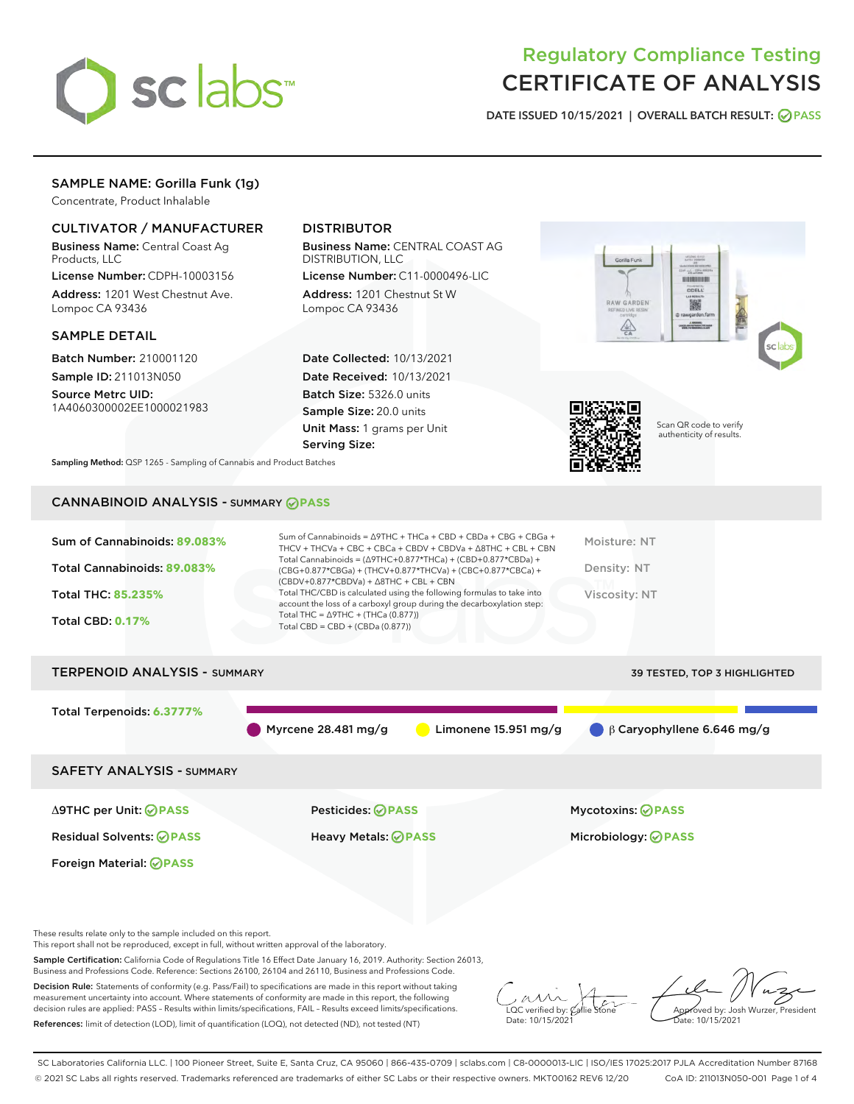

# Regulatory Compliance Testing CERTIFICATE OF ANALYSIS

DATE ISSUED 10/15/2021 | OVERALL BATCH RESULT: @ PASS

# SAMPLE NAME: Gorilla Funk (1g)

Concentrate, Product Inhalable

# CULTIVATOR / MANUFACTURER

Business Name: Central Coast Ag Products, LLC

License Number: CDPH-10003156 Address: 1201 West Chestnut Ave. Lompoc CA 93436

#### SAMPLE DETAIL

Batch Number: 210001120 Sample ID: 211013N050

Source Metrc UID: 1A4060300002EE1000021983

# DISTRIBUTOR

Business Name: CENTRAL COAST AG DISTRIBUTION, LLC

License Number: C11-0000496-LIC Address: 1201 Chestnut St W Lompoc CA 93436

Date Collected: 10/13/2021 Date Received: 10/13/2021 Batch Size: 5326.0 units Sample Size: 20.0 units Unit Mass: 1 grams per Unit Serving Size:





Scan QR code to verify authenticity of results.

Sampling Method: QSP 1265 - Sampling of Cannabis and Product Batches

# CANNABINOID ANALYSIS - SUMMARY **PASS**

| Sum of Cannabinoids: 89.083%<br>Total Cannabinoids: 89.083%<br><b>Total THC: 85.235%</b><br><b>Total CBD: 0.17%</b> | $(CBDV+0.877*CBDVa) + \Delta 8THC + CBL + CBN$<br>Total THC = $\triangle$ 9THC + (THCa (0.877))<br>Total CBD = $CBD + (CBDa (0.877))$ | Sum of Cannabinoids = $\triangle$ 9THC + THCa + CBD + CBDa + CBG + CBGa +<br>THCV + THCVa + CBC + CBCa + CBDV + CBDVa + $\land$ 8THC + CBL + CBN<br>Total Cannabinoids = $(\Delta$ 9THC+0.877*THCa) + (CBD+0.877*CBDa) +<br>(CBG+0.877*CBGa) + (THCV+0.877*THCVa) + (CBC+0.877*CBCa) +<br>Total THC/CBD is calculated using the following formulas to take into<br>account the loss of a carboxyl group during the decarboxylation step: | Moisture: NT<br>Density: NT<br>Viscosity: NT |
|---------------------------------------------------------------------------------------------------------------------|---------------------------------------------------------------------------------------------------------------------------------------|------------------------------------------------------------------------------------------------------------------------------------------------------------------------------------------------------------------------------------------------------------------------------------------------------------------------------------------------------------------------------------------------------------------------------------------|----------------------------------------------|
| <b>TERPENOID ANALYSIS - SUMMARY</b>                                                                                 |                                                                                                                                       |                                                                                                                                                                                                                                                                                                                                                                                                                                          | <b>39 TESTED, TOP 3 HIGHLIGHTED</b>          |
| Total Terpenoids: 6.3777%                                                                                           | Myrcene $28.481 \,\mathrm{mg/g}$                                                                                                      | Limonene 15.951 mg/g                                                                                                                                                                                                                                                                                                                                                                                                                     | $\bigcirc$ $\beta$ Caryophyllene 6.646 mg/g  |
| <b>SAFETY ANALYSIS - SUMMARY</b>                                                                                    |                                                                                                                                       |                                                                                                                                                                                                                                                                                                                                                                                                                                          |                                              |
|                                                                                                                     |                                                                                                                                       |                                                                                                                                                                                                                                                                                                                                                                                                                                          |                                              |

Foreign Material: **PASS**

Δ9THC per Unit: **PASS** Pesticides: **PASS** Mycotoxins: **PASS**

Residual Solvents: **PASS** Heavy Metals: **PASS** Microbiology: **PASS**

These results relate only to the sample included on this report.

This report shall not be reproduced, except in full, without written approval of the laboratory.

Sample Certification: California Code of Regulations Title 16 Effect Date January 16, 2019. Authority: Section 26013, Business and Professions Code. Reference: Sections 26100, 26104 and 26110, Business and Professions Code.

Decision Rule: Statements of conformity (e.g. Pass/Fail) to specifications are made in this report without taking measurement uncertainty into account. Where statements of conformity are made in this report, the following decision rules are applied: PASS – Results within limits/specifications, FAIL – Results exceed limits/specifications. References: limit of detection (LOD), limit of quantification (LOQ), not detected (ND), not tested (NT)

 $\overline{\text{LOC}}$  verified by:  $\mathcal{C}_i$ Date: 10/15/2021

Approved by: Josh Wurzer, President ate: 10/15/2021

SC Laboratories California LLC. | 100 Pioneer Street, Suite E, Santa Cruz, CA 95060 | 866-435-0709 | sclabs.com | C8-0000013-LIC | ISO/IES 17025:2017 PJLA Accreditation Number 87168 © 2021 SC Labs all rights reserved. Trademarks referenced are trademarks of either SC Labs or their respective owners. MKT00162 REV6 12/20 CoA ID: 211013N050-001 Page 1 of 4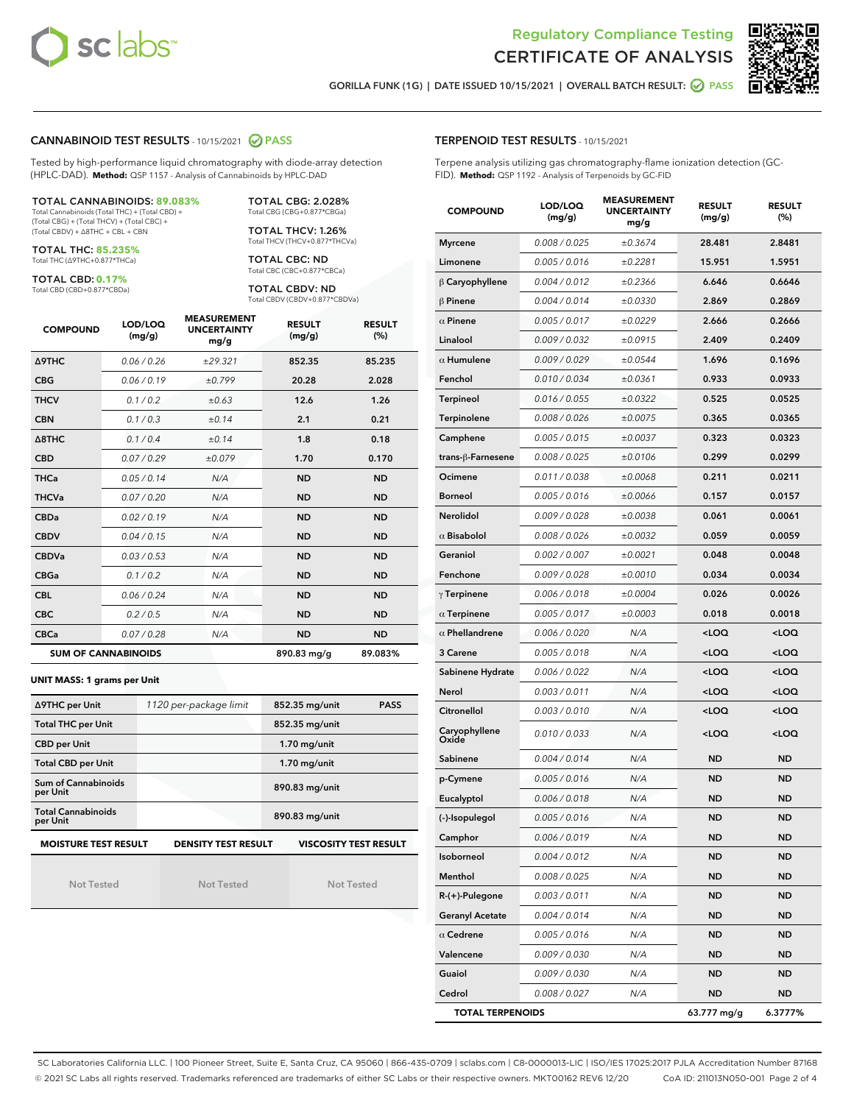



GORILLA FUNK (1G) | DATE ISSUED 10/15/2021 | OVERALL BATCH RESULT: @ PASS

#### CANNABINOID TEST RESULTS - 10/15/2021 2 PASS

Tested by high-performance liquid chromatography with diode-array detection (HPLC-DAD). **Method:** QSP 1157 - Analysis of Cannabinoids by HPLC-DAD

#### TOTAL CANNABINOIDS: **89.083%**

Total Cannabinoids (Total THC) + (Total CBD) + (Total CBG) + (Total THCV) + (Total CBC) + (Total CBDV) + ∆8THC + CBL + CBN

TOTAL THC: **85.235%** Total THC (∆9THC+0.877\*THCa)

TOTAL CBD: **0.17%**

Total CBD (CBD+0.877\*CBDa)

TOTAL CBG: 2.028% Total CBG (CBG+0.877\*CBGa)

TOTAL THCV: 1.26% Total THCV (THCV+0.877\*THCVa)

TOTAL CBC: ND Total CBC (CBC+0.877\*CBCa)

TOTAL CBDV: ND Total CBDV (CBDV+0.877\*CBDVa)

| <b>COMPOUND</b>  | LOD/LOQ<br>(mg/g)          | <b>MEASUREMENT</b><br><b>UNCERTAINTY</b><br>mg/g | <b>RESULT</b><br>(mg/g) | <b>RESULT</b><br>(%) |
|------------------|----------------------------|--------------------------------------------------|-------------------------|----------------------|
| <b>A9THC</b>     | 0.06 / 0.26                | ±29.321                                          | 852.35                  | 85.235               |
| <b>CBG</b>       | 0.06/0.19                  | ±0.799                                           | 20.28                   | 2.028                |
| <b>THCV</b>      | 0.1/0.2                    | ±0.63                                            | 12.6                    | 1.26                 |
| <b>CBN</b>       | 0.1/0.3                    | ±0.14                                            | 2.1                     | 0.21                 |
| $\triangle$ 8THC | 0.1/0.4                    | ±0.14                                            | 1.8                     | 0.18                 |
| <b>CBD</b>       | 0.07/0.29                  | ±0.079                                           | 1.70                    | 0.170                |
| <b>THCa</b>      | 0.05/0.14                  | N/A                                              | <b>ND</b>               | <b>ND</b>            |
| <b>THCVa</b>     | 0.07/0.20                  | N/A                                              | <b>ND</b>               | <b>ND</b>            |
| <b>CBDa</b>      | 0.02/0.19                  | N/A                                              | <b>ND</b>               | <b>ND</b>            |
| <b>CBDV</b>      | 0.04 / 0.15                | N/A                                              | <b>ND</b>               | <b>ND</b>            |
| <b>CBDVa</b>     | 0.03/0.53                  | N/A                                              | <b>ND</b>               | <b>ND</b>            |
| <b>CBGa</b>      | 0.1/0.2                    | N/A                                              | <b>ND</b>               | <b>ND</b>            |
| <b>CBL</b>       | 0.06 / 0.24                | N/A                                              | <b>ND</b>               | <b>ND</b>            |
| <b>CBC</b>       | 0.2 / 0.5                  | N/A                                              | <b>ND</b>               | <b>ND</b>            |
| <b>CBCa</b>      | 0.07 / 0.28                | N/A                                              | <b>ND</b>               | <b>ND</b>            |
|                  | <b>SUM OF CANNABINOIDS</b> |                                                  | 890.83 mg/g             | 89.083%              |

#### **UNIT MASS: 1 grams per Unit**

| ∆9THC per Unit                                                                            | 1120 per-package limit | 852.35 mg/unit<br><b>PASS</b> |  |  |  |
|-------------------------------------------------------------------------------------------|------------------------|-------------------------------|--|--|--|
| <b>Total THC per Unit</b>                                                                 |                        | 852.35 mg/unit                |  |  |  |
| <b>CBD per Unit</b>                                                                       |                        | $1.70$ mg/unit                |  |  |  |
| <b>Total CBD per Unit</b>                                                                 |                        | $1.70$ mg/unit                |  |  |  |
| Sum of Cannabinoids<br>per Unit                                                           |                        | 890.83 mg/unit                |  |  |  |
| <b>Total Cannabinoids</b><br>per Unit                                                     |                        | 890.83 mg/unit                |  |  |  |
| <b>MOISTURE TEST RESULT</b><br><b>DENSITY TEST RESULT</b><br><b>VISCOSITY TEST RESULT</b> |                        |                               |  |  |  |

Not Tested

Not Tested

Not Tested

#### TERPENOID TEST RESULTS - 10/15/2021

Terpene analysis utilizing gas chromatography-flame ionization detection (GC-FID). **Method:** QSP 1192 - Analysis of Terpenoids by GC-FID

| <b>COMPOUND</b>         | LOD/LOQ<br>(mg/g) | <b>MEASUREMENT</b><br><b>UNCERTAINTY</b><br>mg/g | <b>RESULT</b><br>(mg/g)                         | <b>RESULT</b><br>$(\%)$ |
|-------------------------|-------------------|--------------------------------------------------|-------------------------------------------------|-------------------------|
| <b>Myrcene</b>          | 0.008 / 0.025     | ±0.3674                                          | 28.481                                          | 2.8481                  |
| Limonene                | 0.005 / 0.016     | ±0.2281                                          | 15.951                                          | 1.5951                  |
| <b>B</b> Caryophyllene  | 0.004 / 0.012     | ±0.2366                                          | 6.646                                           | 0.6646                  |
| $\beta$ Pinene          | 0.004 / 0.014     | ±0.0330                                          | 2.869                                           | 0.2869                  |
| $\alpha$ Pinene         | 0.005 / 0.017     | ±0.0229                                          | 2.666                                           | 0.2666                  |
| Linalool                | 0.009/0.032       | ±0.0915                                          | 2.409                                           | 0.2409                  |
| $\alpha$ Humulene       | 0.009/0.029       | ±0.0544                                          | 1.696                                           | 0.1696                  |
| Fenchol                 | 0.010 / 0.034     | ±0.0361                                          | 0.933                                           | 0.0933                  |
| Terpineol               | 0.016 / 0.055     | ±0.0322                                          | 0.525                                           | 0.0525                  |
| Terpinolene             | 0.008 / 0.026     | ±0.0075                                          | 0.365                                           | 0.0365                  |
| Camphene                | 0.005 / 0.015     | ±0.0037                                          | 0.323                                           | 0.0323                  |
| trans-ß-Farnesene       | 0.008 / 0.025     | ±0.0106                                          | 0.299                                           | 0.0299                  |
| Ocimene                 | 0.011 / 0.038     | ±0.0068                                          | 0.211                                           | 0.0211                  |
| <b>Borneol</b>          | 0.005 / 0.016     | ±0.0066                                          | 0.157                                           | 0.0157                  |
| Nerolidol               | 0.009 / 0.028     | ±0.0038                                          | 0.061                                           | 0.0061                  |
| $\alpha$ Bisabolol      | 0.008 / 0.026     | ±0.0032                                          | 0.059                                           | 0.0059                  |
| Geraniol                | 0.002 / 0.007     | ±0.0021                                          | 0.048                                           | 0.0048                  |
| Fenchone                | 0.009 / 0.028     | ±0.0010                                          | 0.034                                           | 0.0034                  |
| $\gamma$ Terpinene      | 0.006 / 0.018     | ±0.0004                                          | 0.026                                           | 0.0026                  |
| $\alpha$ Terpinene      | 0.005 / 0.017     | ±0.0003                                          | 0.018                                           | 0.0018                  |
| $\alpha$ Phellandrene   | 0.006 / 0.020     | N/A                                              | <loq< th=""><th><loq< th=""></loq<></th></loq<> | <loq< th=""></loq<>     |
| 3 Carene                | 0.005 / 0.018     | N/A                                              | <loq< th=""><th><loq< th=""></loq<></th></loq<> | <loq< th=""></loq<>     |
| Sabinene Hydrate        | 0.006 / 0.022     | N/A                                              | <loq< th=""><th><loq< th=""></loq<></th></loq<> | <loq< th=""></loq<>     |
| Nerol                   | 0.003 / 0.011     | N/A                                              | <loq< th=""><th><loq< th=""></loq<></th></loq<> | <loq< th=""></loq<>     |
| Citronellol             | 0.003 / 0.010     | N/A                                              | <loq< th=""><th><loq< th=""></loq<></th></loq<> | <loq< th=""></loq<>     |
| Caryophyllene<br>Oxide  | 0.010 / 0.033     | N/A                                              | <loq< th=""><th><loq< th=""></loq<></th></loq<> | <loq< th=""></loq<>     |
| Sabinene                | 0.004 / 0.014     | N/A                                              | <b>ND</b>                                       | <b>ND</b>               |
| p-Cymene                | 0.005 / 0.016     | N/A                                              | <b>ND</b>                                       | <b>ND</b>               |
| Eucalyptol              | 0.006 / 0.018     | N/A                                              | ND                                              | <b>ND</b>               |
| (-)-Isopulegol          | 0.005 / 0.016     | N/A                                              | <b>ND</b>                                       | <b>ND</b>               |
| Camphor                 | 0.006 / 0.019     | N/A                                              | ND                                              | ND                      |
| Isoborneol              | 0.004 / 0.012     | N/A                                              | ND                                              | ND                      |
| Menthol                 | 0.008 / 0.025     | N/A                                              | ND                                              | ND                      |
| R-(+)-Pulegone          | 0.003 / 0.011     | N/A                                              | ND                                              | ND                      |
| <b>Geranyl Acetate</b>  | 0.004 / 0.014     | N/A                                              | ND                                              | ND                      |
| $\alpha$ Cedrene        | 0.005 / 0.016     | N/A                                              | ND                                              | ND                      |
| Valencene               | 0.009 / 0.030     | N/A                                              | ND                                              | ND                      |
| Guaiol                  | 0.009 / 0.030     | N/A                                              | ND                                              | ND                      |
| Cedrol                  | 0.008 / 0.027     | N/A                                              | ND                                              | <b>ND</b>               |
| <b>TOTAL TERPENOIDS</b> |                   |                                                  | 63.777 mg/g                                     | 6.3777%                 |

SC Laboratories California LLC. | 100 Pioneer Street, Suite E, Santa Cruz, CA 95060 | 866-435-0709 | sclabs.com | C8-0000013-LIC | ISO/IES 17025:2017 PJLA Accreditation Number 87168 © 2021 SC Labs all rights reserved. Trademarks referenced are trademarks of either SC Labs or their respective owners. MKT00162 REV6 12/20 CoA ID: 211013N050-001 Page 2 of 4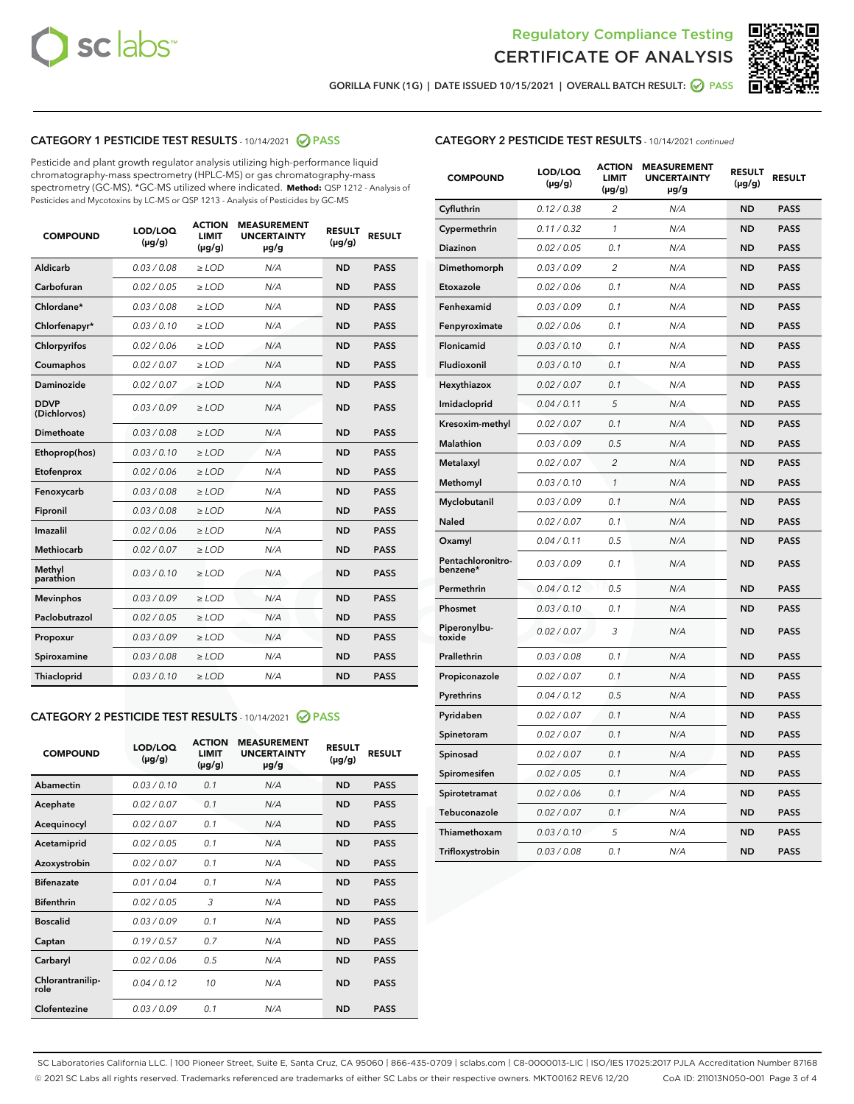



GORILLA FUNK (1G) | DATE ISSUED 10/15/2021 | OVERALL BATCH RESULT: 2 PASS

# CATEGORY 1 PESTICIDE TEST RESULTS - 10/14/2021 2 PASS

Pesticide and plant growth regulator analysis utilizing high-performance liquid chromatography-mass spectrometry (HPLC-MS) or gas chromatography-mass spectrometry (GC-MS). \*GC-MS utilized where indicated. **Method:** QSP 1212 - Analysis of Pesticides and Mycotoxins by LC-MS or QSP 1213 - Analysis of Pesticides by GC-MS

| 0.03 / 0.08<br><b>ND</b><br><b>PASS</b><br>Aldicarb<br>$\ge$ LOD<br>N/A<br>Carbofuran<br>0.02 / 0.05<br>$\ge$ LOD<br>N/A<br><b>ND</b><br><b>PASS</b><br>Chlordane*<br>0.03 / 0.08<br>$\ge$ LOD<br>N/A<br><b>ND</b><br><b>PASS</b><br>Chlorfenapyr*<br>0.03/0.10<br>$\ge$ LOD<br>N/A<br><b>ND</b><br><b>PASS</b><br>Chlorpyrifos<br>0.02 / 0.06<br>N/A<br><b>ND</b><br><b>PASS</b><br>$\ge$ LOD<br>Coumaphos<br>0.02 / 0.07<br>N/A<br><b>ND</b><br><b>PASS</b><br>$\ge$ LOD<br>Daminozide<br>0.02 / 0.07<br>N/A<br><b>ND</b><br><b>PASS</b><br>$\ge$ LOD<br><b>DDVP</b><br>0.03/0.09<br>$>$ LOD<br>N/A<br><b>ND</b><br><b>PASS</b><br>(Dichlorvos)<br>Dimethoate<br>0.03 / 0.08<br>$\ge$ LOD<br><b>ND</b><br><b>PASS</b><br>N/A<br>0.03/0.10<br>N/A<br><b>ND</b><br><b>PASS</b><br>Ethoprop(hos)<br>$>$ LOD<br>N/A<br><b>ND</b><br><b>PASS</b><br>Etofenprox<br>0.02 / 0.06<br>$\ge$ LOD<br>Fenoxycarb<br>0.03 / 0.08<br>$\ge$ LOD<br>N/A<br><b>ND</b><br><b>PASS</b><br>0.03 / 0.08<br>$\ge$ LOD<br>N/A<br><b>ND</b><br><b>PASS</b><br>Fipronil<br>Imazalil<br>0.02 / 0.06<br>$\geq$ LOD<br>N/A<br><b>ND</b><br><b>PASS</b><br><b>Methiocarb</b><br>0.02 / 0.07<br>$\ge$ LOD<br>N/A<br><b>ND</b><br><b>PASS</b><br>Methyl<br>0.03/0.10<br>N/A<br><b>ND</b><br><b>PASS</b><br>$\ge$ LOD<br>parathion<br>0.03/0.09<br><b>Mevinphos</b><br>$\ge$ LOD<br>N/A<br><b>ND</b><br><b>PASS</b><br>Paclobutrazol<br>0.02 / 0.05<br>$>$ LOD<br>N/A<br><b>ND</b><br><b>PASS</b><br>0.03 / 0.09<br>N/A<br>$\ge$ LOD<br><b>ND</b><br><b>PASS</b><br>Propoxur<br>0.03 / 0.08<br><b>ND</b><br><b>PASS</b><br>Spiroxamine<br>$\ge$ LOD<br>N/A<br>Thiacloprid<br>0.03/0.10<br>$\ge$ LOD<br>N/A<br><b>ND</b><br><b>PASS</b> | <b>COMPOUND</b> | LOD/LOQ<br>$(\mu g/g)$ | <b>ACTION</b><br><b>LIMIT</b><br>$(\mu g/g)$ | <b>MEASUREMENT</b><br><b>UNCERTAINTY</b><br>$\mu$ g/g | <b>RESULT</b><br>$(\mu g/g)$ | <b>RESULT</b> |
|---------------------------------------------------------------------------------------------------------------------------------------------------------------------------------------------------------------------------------------------------------------------------------------------------------------------------------------------------------------------------------------------------------------------------------------------------------------------------------------------------------------------------------------------------------------------------------------------------------------------------------------------------------------------------------------------------------------------------------------------------------------------------------------------------------------------------------------------------------------------------------------------------------------------------------------------------------------------------------------------------------------------------------------------------------------------------------------------------------------------------------------------------------------------------------------------------------------------------------------------------------------------------------------------------------------------------------------------------------------------------------------------------------------------------------------------------------------------------------------------------------------------------------------------------------------------------------------------------------------------------------------------------------------------------------------------------------|-----------------|------------------------|----------------------------------------------|-------------------------------------------------------|------------------------------|---------------|
|                                                                                                                                                                                                                                                                                                                                                                                                                                                                                                                                                                                                                                                                                                                                                                                                                                                                                                                                                                                                                                                                                                                                                                                                                                                                                                                                                                                                                                                                                                                                                                                                                                                                                                         |                 |                        |                                              |                                                       |                              |               |
|                                                                                                                                                                                                                                                                                                                                                                                                                                                                                                                                                                                                                                                                                                                                                                                                                                                                                                                                                                                                                                                                                                                                                                                                                                                                                                                                                                                                                                                                                                                                                                                                                                                                                                         |                 |                        |                                              |                                                       |                              |               |
|                                                                                                                                                                                                                                                                                                                                                                                                                                                                                                                                                                                                                                                                                                                                                                                                                                                                                                                                                                                                                                                                                                                                                                                                                                                                                                                                                                                                                                                                                                                                                                                                                                                                                                         |                 |                        |                                              |                                                       |                              |               |
|                                                                                                                                                                                                                                                                                                                                                                                                                                                                                                                                                                                                                                                                                                                                                                                                                                                                                                                                                                                                                                                                                                                                                                                                                                                                                                                                                                                                                                                                                                                                                                                                                                                                                                         |                 |                        |                                              |                                                       |                              |               |
|                                                                                                                                                                                                                                                                                                                                                                                                                                                                                                                                                                                                                                                                                                                                                                                                                                                                                                                                                                                                                                                                                                                                                                                                                                                                                                                                                                                                                                                                                                                                                                                                                                                                                                         |                 |                        |                                              |                                                       |                              |               |
|                                                                                                                                                                                                                                                                                                                                                                                                                                                                                                                                                                                                                                                                                                                                                                                                                                                                                                                                                                                                                                                                                                                                                                                                                                                                                                                                                                                                                                                                                                                                                                                                                                                                                                         |                 |                        |                                              |                                                       |                              |               |
|                                                                                                                                                                                                                                                                                                                                                                                                                                                                                                                                                                                                                                                                                                                                                                                                                                                                                                                                                                                                                                                                                                                                                                                                                                                                                                                                                                                                                                                                                                                                                                                                                                                                                                         |                 |                        |                                              |                                                       |                              |               |
|                                                                                                                                                                                                                                                                                                                                                                                                                                                                                                                                                                                                                                                                                                                                                                                                                                                                                                                                                                                                                                                                                                                                                                                                                                                                                                                                                                                                                                                                                                                                                                                                                                                                                                         |                 |                        |                                              |                                                       |                              |               |
|                                                                                                                                                                                                                                                                                                                                                                                                                                                                                                                                                                                                                                                                                                                                                                                                                                                                                                                                                                                                                                                                                                                                                                                                                                                                                                                                                                                                                                                                                                                                                                                                                                                                                                         |                 |                        |                                              |                                                       |                              |               |
|                                                                                                                                                                                                                                                                                                                                                                                                                                                                                                                                                                                                                                                                                                                                                                                                                                                                                                                                                                                                                                                                                                                                                                                                                                                                                                                                                                                                                                                                                                                                                                                                                                                                                                         |                 |                        |                                              |                                                       |                              |               |
|                                                                                                                                                                                                                                                                                                                                                                                                                                                                                                                                                                                                                                                                                                                                                                                                                                                                                                                                                                                                                                                                                                                                                                                                                                                                                                                                                                                                                                                                                                                                                                                                                                                                                                         |                 |                        |                                              |                                                       |                              |               |
|                                                                                                                                                                                                                                                                                                                                                                                                                                                                                                                                                                                                                                                                                                                                                                                                                                                                                                                                                                                                                                                                                                                                                                                                                                                                                                                                                                                                                                                                                                                                                                                                                                                                                                         |                 |                        |                                              |                                                       |                              |               |
|                                                                                                                                                                                                                                                                                                                                                                                                                                                                                                                                                                                                                                                                                                                                                                                                                                                                                                                                                                                                                                                                                                                                                                                                                                                                                                                                                                                                                                                                                                                                                                                                                                                                                                         |                 |                        |                                              |                                                       |                              |               |
|                                                                                                                                                                                                                                                                                                                                                                                                                                                                                                                                                                                                                                                                                                                                                                                                                                                                                                                                                                                                                                                                                                                                                                                                                                                                                                                                                                                                                                                                                                                                                                                                                                                                                                         |                 |                        |                                              |                                                       |                              |               |
|                                                                                                                                                                                                                                                                                                                                                                                                                                                                                                                                                                                                                                                                                                                                                                                                                                                                                                                                                                                                                                                                                                                                                                                                                                                                                                                                                                                                                                                                                                                                                                                                                                                                                                         |                 |                        |                                              |                                                       |                              |               |
|                                                                                                                                                                                                                                                                                                                                                                                                                                                                                                                                                                                                                                                                                                                                                                                                                                                                                                                                                                                                                                                                                                                                                                                                                                                                                                                                                                                                                                                                                                                                                                                                                                                                                                         |                 |                        |                                              |                                                       |                              |               |
|                                                                                                                                                                                                                                                                                                                                                                                                                                                                                                                                                                                                                                                                                                                                                                                                                                                                                                                                                                                                                                                                                                                                                                                                                                                                                                                                                                                                                                                                                                                                                                                                                                                                                                         |                 |                        |                                              |                                                       |                              |               |
|                                                                                                                                                                                                                                                                                                                                                                                                                                                                                                                                                                                                                                                                                                                                                                                                                                                                                                                                                                                                                                                                                                                                                                                                                                                                                                                                                                                                                                                                                                                                                                                                                                                                                                         |                 |                        |                                              |                                                       |                              |               |
|                                                                                                                                                                                                                                                                                                                                                                                                                                                                                                                                                                                                                                                                                                                                                                                                                                                                                                                                                                                                                                                                                                                                                                                                                                                                                                                                                                                                                                                                                                                                                                                                                                                                                                         |                 |                        |                                              |                                                       |                              |               |
|                                                                                                                                                                                                                                                                                                                                                                                                                                                                                                                                                                                                                                                                                                                                                                                                                                                                                                                                                                                                                                                                                                                                                                                                                                                                                                                                                                                                                                                                                                                                                                                                                                                                                                         |                 |                        |                                              |                                                       |                              |               |
|                                                                                                                                                                                                                                                                                                                                                                                                                                                                                                                                                                                                                                                                                                                                                                                                                                                                                                                                                                                                                                                                                                                                                                                                                                                                                                                                                                                                                                                                                                                                                                                                                                                                                                         |                 |                        |                                              |                                                       |                              |               |

#### CATEGORY 2 PESTICIDE TEST RESULTS - 10/14/2021 @ PASS

| <b>COMPOUND</b>          | LOD/LOQ<br>$(\mu g/g)$ | <b>ACTION</b><br><b>LIMIT</b><br>$(\mu g/g)$ | <b>MEASUREMENT</b><br><b>UNCERTAINTY</b><br>$\mu$ g/g | <b>RESULT</b><br>$(\mu g/g)$ | <b>RESULT</b> |
|--------------------------|------------------------|----------------------------------------------|-------------------------------------------------------|------------------------------|---------------|
| Abamectin                | 0.03/0.10              | 0.1                                          | N/A                                                   | <b>ND</b>                    | <b>PASS</b>   |
| Acephate                 | 0.02/0.07              | 0.1                                          | N/A                                                   | <b>ND</b>                    | <b>PASS</b>   |
| Acequinocyl              | 0.02/0.07              | 0.1                                          | N/A                                                   | <b>ND</b>                    | <b>PASS</b>   |
| Acetamiprid              | 0.02/0.05              | 0.1                                          | N/A                                                   | <b>ND</b>                    | <b>PASS</b>   |
| Azoxystrobin             | 0.02/0.07              | 0.1                                          | N/A                                                   | <b>ND</b>                    | <b>PASS</b>   |
| <b>Bifenazate</b>        | 0.01/0.04              | 0.1                                          | N/A                                                   | <b>ND</b>                    | <b>PASS</b>   |
| <b>Bifenthrin</b>        | 0.02 / 0.05            | 3                                            | N/A                                                   | <b>ND</b>                    | <b>PASS</b>   |
| <b>Boscalid</b>          | 0.03/0.09              | 0.1                                          | N/A                                                   | <b>ND</b>                    | <b>PASS</b>   |
| Captan                   | 0.19/0.57              | 0.7                                          | N/A                                                   | <b>ND</b>                    | <b>PASS</b>   |
| Carbaryl                 | 0.02/0.06              | 0.5                                          | N/A                                                   | <b>ND</b>                    | <b>PASS</b>   |
| Chlorantranilip-<br>role | 0.04/0.12              | 10                                           | N/A                                                   | <b>ND</b>                    | <b>PASS</b>   |
| Clofentezine             | 0.03/0.09              | 0.1                                          | N/A                                                   | <b>ND</b>                    | <b>PASS</b>   |

| <b>CATEGORY 2 PESTICIDE TEST RESULTS</b> - 10/14/2021 continued |
|-----------------------------------------------------------------|
|                                                                 |

| <b>COMPOUND</b>               | LOD/LOQ<br>(µg/g) | <b>ACTION</b><br>LIMIT<br>$(\mu g/g)$ | <b>MEASUREMENT</b><br><b>UNCERTAINTY</b><br>µg/g | <b>RESULT</b><br>(µg/g) | <b>RESULT</b> |
|-------------------------------|-------------------|---------------------------------------|--------------------------------------------------|-------------------------|---------------|
| Cyfluthrin                    | 0.12 / 0.38       | 2                                     | N/A                                              | <b>ND</b>               | <b>PASS</b>   |
| Cypermethrin                  | 0.11 / 0.32       | $\mathcal{I}$                         | N/A                                              | <b>ND</b>               | <b>PASS</b>   |
| Diazinon                      | 0.02 / 0.05       | 0.1                                   | N/A                                              | <b>ND</b>               | <b>PASS</b>   |
| Dimethomorph                  | 0.03 / 0.09       | 2                                     | N/A                                              | <b>ND</b>               | <b>PASS</b>   |
| Etoxazole                     | 0.02 / 0.06       | 0.1                                   | N/A                                              | <b>ND</b>               | <b>PASS</b>   |
| Fenhexamid                    | 0.03 / 0.09       | 0.1                                   | N/A                                              | <b>ND</b>               | <b>PASS</b>   |
| Fenpyroximate                 | 0.02 / 0.06       | 0.1                                   | N/A                                              | <b>ND</b>               | <b>PASS</b>   |
| Flonicamid                    | 0.03 / 0.10       | 0.1                                   | N/A                                              | <b>ND</b>               | <b>PASS</b>   |
| Fludioxonil                   | 0.03 / 0.10       | 0.1                                   | N/A                                              | <b>ND</b>               | <b>PASS</b>   |
| Hexythiazox                   | 0.02 / 0.07       | 0.1                                   | N/A                                              | <b>ND</b>               | <b>PASS</b>   |
| Imidacloprid                  | 0.04 / 0.11       | 5                                     | N/A                                              | <b>ND</b>               | <b>PASS</b>   |
| Kresoxim-methyl               | 0.02 / 0.07       | 0.1                                   | N/A                                              | <b>ND</b>               | <b>PASS</b>   |
| Malathion                     | 0.03 / 0.09       | 0.5                                   | N/A                                              | <b>ND</b>               | <b>PASS</b>   |
| Metalaxyl                     | 0.02 / 0.07       | $\overline{c}$                        | N/A                                              | <b>ND</b>               | <b>PASS</b>   |
| Methomyl                      | 0.03 / 0.10       | $\mathcal{I}$                         | N/A                                              | <b>ND</b>               | <b>PASS</b>   |
| Myclobutanil                  | 0.03 / 0.09       | 0.1                                   | N/A                                              | <b>ND</b>               | <b>PASS</b>   |
| Naled                         | 0.02 / 0.07       | 0.1                                   | N/A                                              | <b>ND</b>               | <b>PASS</b>   |
| Oxamyl                        | 0.04 / 0.11       | 0.5                                   | N/A                                              | <b>ND</b>               | <b>PASS</b>   |
| Pentachloronitro-<br>benzene* | 0.03/0.09         | 0.1                                   | N/A                                              | <b>ND</b>               | <b>PASS</b>   |
| Permethrin                    | 0.04 / 0.12       | 0.5                                   | N/A                                              | <b>ND</b>               | <b>PASS</b>   |
| Phosmet                       | 0.03 / 0.10       | 0.1                                   | N/A                                              | <b>ND</b>               | <b>PASS</b>   |
| Piperonylbu-<br>toxide        | 0.02 / 0.07       | 3                                     | N/A                                              | <b>ND</b>               | <b>PASS</b>   |
| Prallethrin                   | 0.03 / 0.08       | 0.1                                   | N/A                                              | <b>ND</b>               | <b>PASS</b>   |
| Propiconazole                 | 0.02 / 0.07       | 0.1                                   | N/A                                              | <b>ND</b>               | <b>PASS</b>   |
| Pyrethrins                    | 0.04 / 0.12       | 0.5                                   | N/A                                              | <b>ND</b>               | <b>PASS</b>   |
| Pyridaben                     | 0.02 / 0.07       | 0.1                                   | N/A                                              | <b>ND</b>               | <b>PASS</b>   |
| Spinetoram                    | 0.02 / 0.07       | 0.1                                   | N/A                                              | <b>ND</b>               | <b>PASS</b>   |
| Spinosad                      | 0.02 / 0.07       | 0.1                                   | N/A                                              | <b>ND</b>               | <b>PASS</b>   |
| Spiromesifen                  | 0.02 / 0.05       | 0.1                                   | N/A                                              | <b>ND</b>               | <b>PASS</b>   |
| Spirotetramat                 | 0.02 / 0.06       | 0.1                                   | N/A                                              | <b>ND</b>               | <b>PASS</b>   |
| Tebuconazole                  | 0.02 / 0.07       | 0.1                                   | N/A                                              | <b>ND</b>               | <b>PASS</b>   |
| Thiamethoxam                  | 0.03 / 0.10       | 5                                     | N/A                                              | <b>ND</b>               | <b>PASS</b>   |
| Trifloxystrobin               | 0.03 / 0.08       | 0.1                                   | N/A                                              | <b>ND</b>               | <b>PASS</b>   |

SC Laboratories California LLC. | 100 Pioneer Street, Suite E, Santa Cruz, CA 95060 | 866-435-0709 | sclabs.com | C8-0000013-LIC | ISO/IES 17025:2017 PJLA Accreditation Number 87168 © 2021 SC Labs all rights reserved. Trademarks referenced are trademarks of either SC Labs or their respective owners. MKT00162 REV6 12/20 CoA ID: 211013N050-001 Page 3 of 4